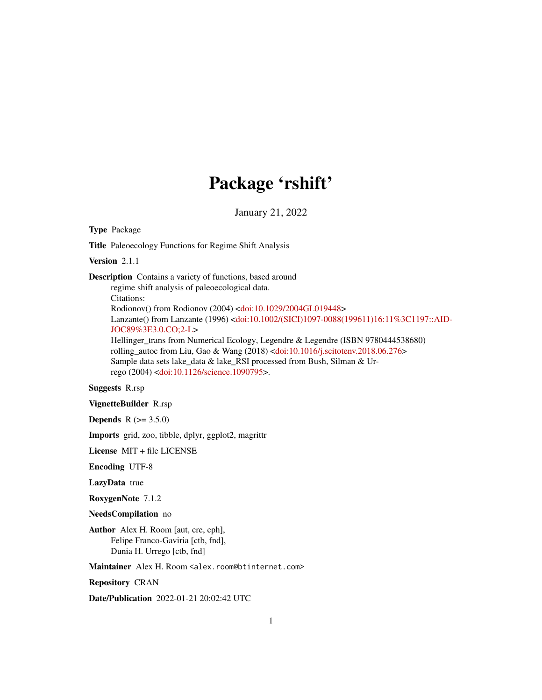# Package 'rshift'

January 21, 2022

Type Package

Title Paleoecology Functions for Regime Shift Analysis

Version 2.1.1

Description Contains a variety of functions, based around

regime shift analysis of paleoecological data. Citations: Rodionov() from Rodionov (2004) [<doi:10.1029/2004GL019448>](https://doi.org/10.1029/2004GL019448) Lanzante() from Lanzante (1996) [<doi:10.1002/\(SICI\)1097-0088\(199611\)16:11%3C1197::AID-](https://doi.org/10.1002/(SICI)1097-0088(199611)16:11%3C1197::AID-JOC89%3E3.0.CO;2-L)[JOC89%3E3.0.CO;2-L>](https://doi.org/10.1002/(SICI)1097-0088(199611)16:11%3C1197::AID-JOC89%3E3.0.CO;2-L) Hellinger\_trans from Numerical Ecology, Legendre & Legendre (ISBN 9780444538680) rolling\_autoc from Liu, Gao & Wang (2018) [<doi:10.1016/j.scitotenv.2018.06.276>](https://doi.org/10.1016/j.scitotenv.2018.06.276) Sample data sets lake\_data & lake\_RSI processed from Bush, Silman & Ur-

rego (2004) [<doi:10.1126/science.1090795>](https://doi.org/10.1126/science.1090795).

#### Suggests R.rsp

VignetteBuilder R.rsp

**Depends**  $R (= 3.5.0)$ 

Imports grid, zoo, tibble, dplyr, ggplot2, magrittr

License MIT + file LICENSE

Encoding UTF-8

LazyData true

RoxygenNote 7.1.2

#### NeedsCompilation no

Author Alex H. Room [aut, cre, cph], Felipe Franco-Gaviria [ctb, fnd], Dunia H. Urrego [ctb, fnd]

Maintainer Alex H. Room <alex.room@btinternet.com>

Repository CRAN

Date/Publication 2022-01-21 20:02:42 UTC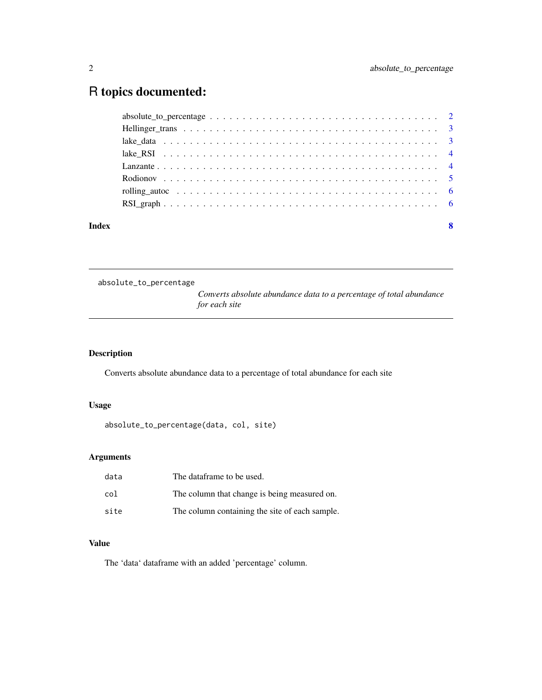## <span id="page-1-0"></span>R topics documented:

| Index | -8 |
|-------|----|

absolute\_to\_percentage

*Converts absolute abundance data to a percentage of total abundance for each site*

#### Description

Converts absolute abundance data to a percentage of total abundance for each site

#### Usage

absolute\_to\_percentage(data, col, site)

#### Arguments

| data | The dataframe to be used.                      |
|------|------------------------------------------------|
| col  | The column that change is being measured on.   |
| site | The column containing the site of each sample. |

#### Value

The 'data' dataframe with an added 'percentage' column.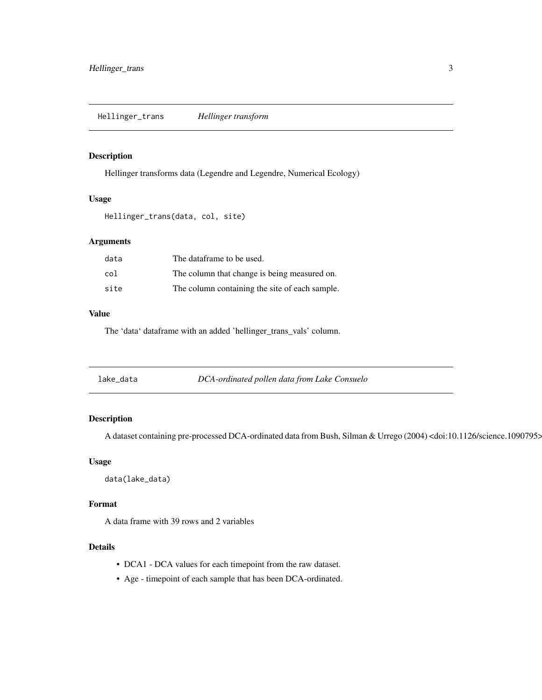#### <span id="page-2-0"></span>Description

Hellinger transforms data (Legendre and Legendre, Numerical Ecology)

#### Usage

```
Hellinger_trans(data, col, site)
```
#### Arguments

| data | The dataframe to be used.                      |
|------|------------------------------------------------|
| col  | The column that change is being measured on.   |
| site | The column containing the site of each sample. |

#### Value

The 'data' dataframe with an added 'hellinger\_trans\_vals' column.

| lake_data | DCA-ordinated pollen data from Lake Consuelo |
|-----------|----------------------------------------------|
|-----------|----------------------------------------------|

#### Description

A dataset containing pre-processed DCA-ordinated data from Bush, Silman & Urrego (2004) <doi:10.1126/science.1090795>.

#### Usage

data(lake\_data)

#### Format

A data frame with 39 rows and 2 variables

#### Details

- DCA1 DCA values for each timepoint from the raw dataset.
- Age timepoint of each sample that has been DCA-ordinated.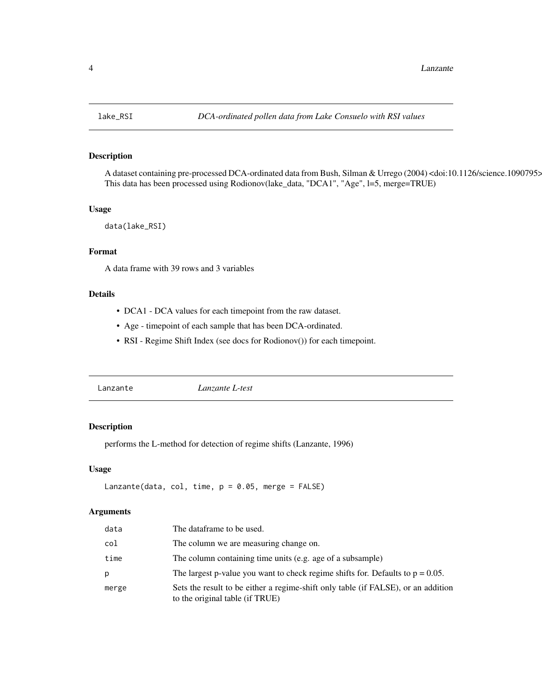<span id="page-3-0"></span>

#### Description

A dataset containing pre-processed DCA-ordinated data from Bush, Silman & Urrego (2004) <doi:10.1126/science.1090795>. This data has been processed using Rodionov(lake\_data, "DCA1", "Age", l=5, merge=TRUE)

#### Usage

data(lake\_RSI)

#### Format

A data frame with 39 rows and 3 variables

#### Details

- DCA1 DCA values for each timepoint from the raw dataset.
- Age timepoint of each sample that has been DCA-ordinated.
- RSI Regime Shift Index (see docs for Rodionov()) for each timepoint.

Lanzante *Lanzante L-test*

#### Description

performs the L-method for detection of regime shifts (Lanzante, 1996)

#### Usage

```
Lanzante(data, col, time, p = 0.05, merge = FALSE)
```
#### Arguments

| data  | The dataframe to be used.                                                                                            |
|-------|----------------------------------------------------------------------------------------------------------------------|
| col   | The column we are measuring change on.                                                                               |
| time  | The column containing time units (e.g. age of a subsample)                                                           |
| р     | The largest p-value you want to check regime shifts for. Defaults to $p = 0.05$ .                                    |
| merge | Sets the result to be either a regime-shift only table (if FALSE), or an addition<br>to the original table (if TRUE) |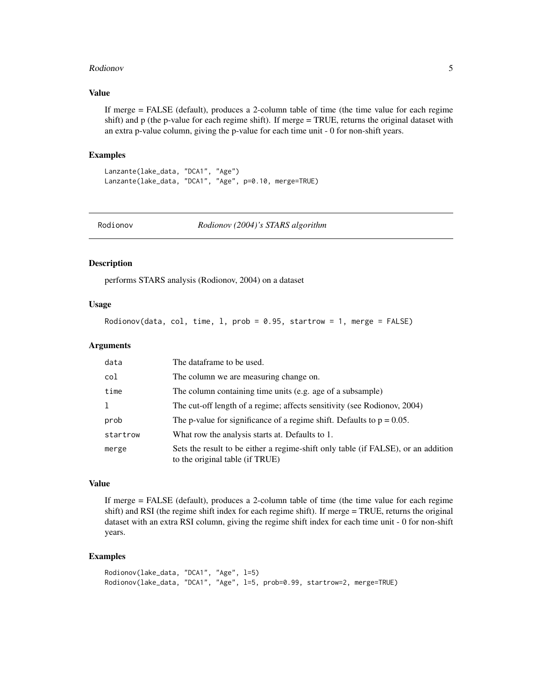#### <span id="page-4-0"></span>Rodionov 5

#### Value

If merge = FALSE (default), produces a 2-column table of time (the time value for each regime shift) and p (the p-value for each regime shift). If merge = TRUE, returns the original dataset with an extra p-value column, giving the p-value for each time unit - 0 for non-shift years.

#### Examples

Lanzante(lake\_data, "DCA1", "Age") Lanzante(lake\_data, "DCA1", "Age", p=0.10, merge=TRUE)

Rodionov *Rodionov (2004)'s STARS algorithm*

#### Description

performs STARS analysis (Rodionov, 2004) on a dataset

#### Usage

Rodionov(data, col, time,  $l$ , prob = 0.95, startrow = 1, merge = FALSE)

#### Arguments

| data     | The dataframe to be used.                                                                                            |
|----------|----------------------------------------------------------------------------------------------------------------------|
| col      | The column we are measuring change on.                                                                               |
| time     | The column containing time units (e.g. age of a subsample)                                                           |
| 1        | The cut-off length of a regime; affects sensitivity (see Rodionov, 2004)                                             |
| prob     | The p-value for significance of a regime shift. Defaults to $p = 0.05$ .                                             |
| startrow | What row the analysis starts at. Defaults to 1.                                                                      |
| merge    | Sets the result to be either a regime-shift only table (if FALSE), or an addition<br>to the original table (if TRUE) |

#### Value

If merge = FALSE (default), produces a 2-column table of time (the time value for each regime shift) and RSI (the regime shift index for each regime shift). If merge = TRUE, returns the original dataset with an extra RSI column, giving the regime shift index for each time unit - 0 for non-shift years.

#### Examples

```
Rodionov(lake_data, "DCA1", "Age", l=5)
Rodionov(lake_data, "DCA1", "Age", l=5, prob=0.99, startrow=2, merge=TRUE)
```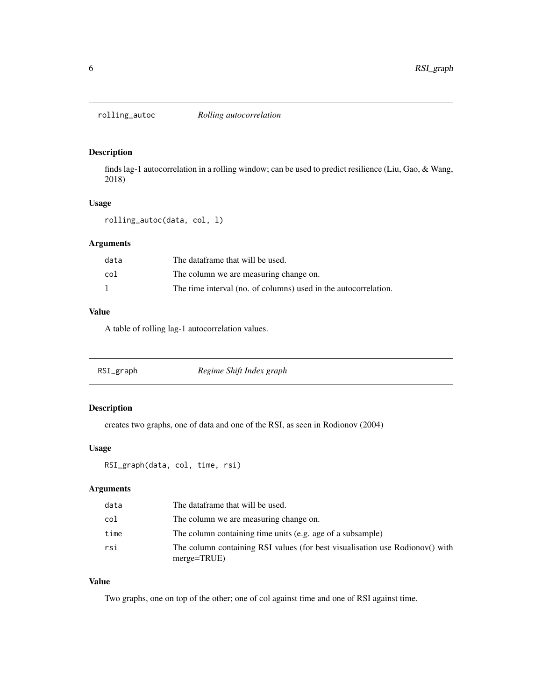<span id="page-5-0"></span>

#### Description

finds lag-1 autocorrelation in a rolling window; can be used to predict resilience (Liu, Gao, & Wang, 2018)

#### Usage

rolling\_autoc(data, col, l)

#### Arguments

| data | The dataframe that will be used.                                |
|------|-----------------------------------------------------------------|
| col  | The column we are measuring change on.                          |
|      | The time interval (no. of columns) used in the autocorrelation. |

#### Value

A table of rolling lag-1 autocorrelation values.

| RSI_graph | Regime Shift Index graph |
|-----------|--------------------------|
|           |                          |

#### Description

creates two graphs, one of data and one of the RSI, as seen in Rodionov (2004)

#### Usage

```
RSI_graph(data, col, time, rsi)
```
#### Arguments

| data | The dataframe that will be used.                                                                 |
|------|--------------------------------------------------------------------------------------------------|
| col  | The column we are measuring change on.                                                           |
| time | The column containing time units (e.g. age of a subsample)                                       |
| rsi  | The column containing RSI values (for best visualisation use Rodionov() with<br>$merge = TRUE$ ) |

#### Value

Two graphs, one on top of the other; one of col against time and one of RSI against time.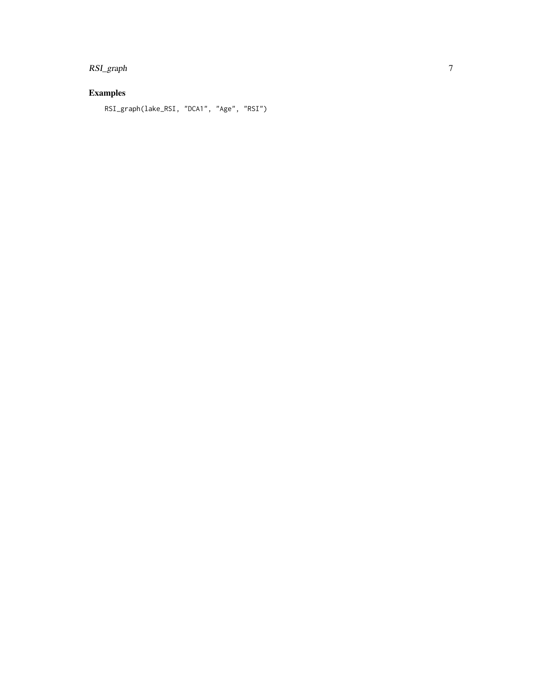### RSI\_graph 7

#### Examples

RSI\_graph(lake\_RSI, "DCA1", "Age", "RSI")